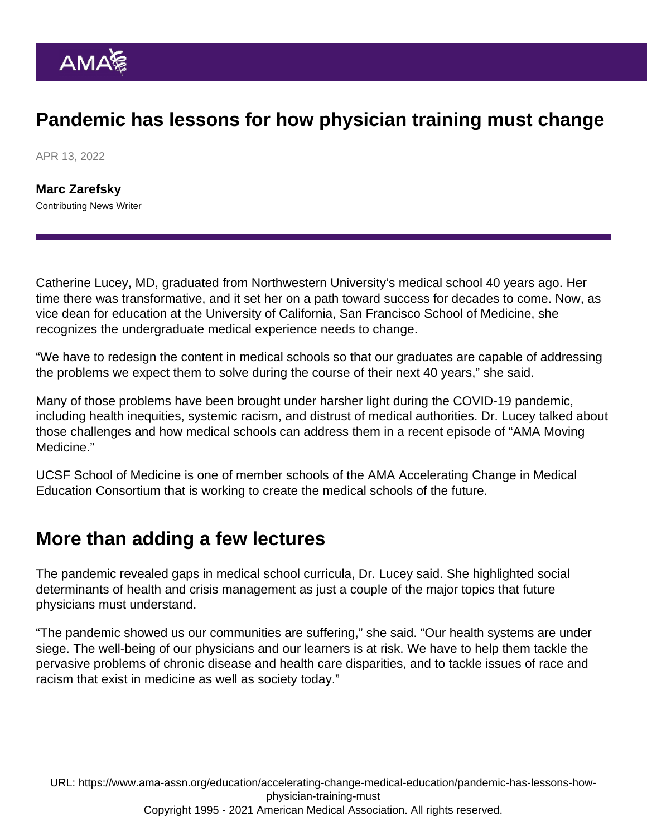## Pandemic has lessons for how physician training must change

APR 13, 2022

[Marc Zarefsky](https://www.ama-assn.org/news-leadership-viewpoints/authors-news-leadership-viewpoints/marc-zarefsky) Contributing News Writer

Catherine Lucey, MD, graduated from Northwestern University's medical school 40 years ago. Her time there was transformative, and it set her on a path toward success for decades to come. Now, as vice dean for education at the University of California, San Francisco School of Medicine, she recognizes the undergraduate medical experience needs to change.

"We have to redesign the content in medical schools so that our graduates are capable of addressing the problems we expect them to solve during the course of their next 40 years," she said.

Many of those problems have been brought under harsher light during the COVID-19 pandemic, including health inequities, systemic racism, and distrust of medical authorities. Dr. Lucey talked about those challenges and how medical schools can address them in a [recent episode](https://www.ama-assn.org/education/accelerating-change-medical-education/how-pandemic-changing-medical-education-catherine) of "[AMA Moving](https://www.ama-assn.org/series/moving-medicine-video-series) [Medicine](https://www.ama-assn.org/series/moving-medicine-video-series)."

UCSF School of Medicine is one of member schools of the AMA Accelerating Change in Medical Education Consortium that is working to create the medical schools of the future.

## More than adding a few lectures

The pandemic revealed gaps in medical school curricula, Dr. Lucey said. She highlighted [social](https://edhub.ama-assn.org/health-systems-science/interactive/17498806) [determinants of health](https://edhub.ama-assn.org/health-systems-science/interactive/17498806) and crisis management as just a couple of the major topics that future physicians must understand.

"The pandemic showed us our communities are suffering," she said. "Our health systems are under siege. The well-being of our physicians and our learners is at risk. We have to help them tackle the pervasive problems of chronic disease and health care disparities, and to tackle issues of race and racism that exist in medicine as well as society today."

URL: [https://www.ama-assn.org/education/accelerating-change-medical-education/pandemic-has-lessons-how](https://www.ama-assn.org/education/accelerating-change-medical-education/pandemic-has-lessons-how-physician-training-must)[physician-training-must](https://www.ama-assn.org/education/accelerating-change-medical-education/pandemic-has-lessons-how-physician-training-must) Copyright 1995 - 2021 American Medical Association. All rights reserved.